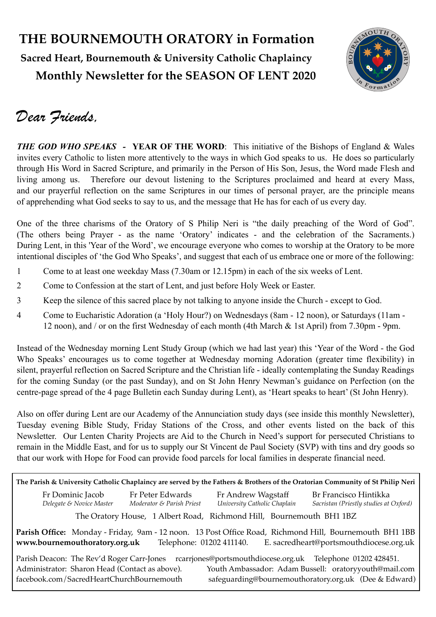## **THE BOURNEMOUTH ORATORY in Formation Sacred Heart, Bournemouth & University Catholic Chaplaincy Monthly Newsletter for the SEASON OF LENT 2020**



## *Dear Friends,*

*THE GOD WHO SPEAKS -* **YEAR OF THE WORD**: This initiative of the Bishops of England & Wales invites every Catholic to listen more attentively to the ways in which God speaks to us. He does so particularly through His Word in Sacred Scripture, and primarily in the Person of His Son, Jesus, the Word made Flesh and living among us. Therefore our devout listening to the Scriptures proclaimed and heard at every Mass, and our prayerful reflection on the same Scriptures in our times of personal prayer, are the principle means of apprehending what God seeks to say to us, and the message that He has for each of us every day.

One of the three charisms of the Oratory of S Philip Neri is "the daily preaching of the Word of God". (The others being Prayer - as the name 'Oratory' indicates - and the celebration of the Sacraments.) During Lent, in this 'Year of the Word', we encourage everyone who comes to worship at the Oratory to be more intentional disciples of 'the God Who Speaks', and suggest that each of us embrace one or more of the following:

- 1 Come to at least one weekday Mass (7.30am or 12.15pm) in each of the six weeks of Lent.
- 2 Come to Confession at the start of Lent, and just before Holy Week or Easter.
- 3 Keep the silence of this sacred place by not talking to anyone inside the Church except to God.
- 4 Come to Eucharistic Adoration (a 'Holy Hour?) on Wednesdays (8am 12 noon), or Saturdays (11am 12 noon), and / or on the first Wednesday of each month (4th March & 1st April) from 7.30pm - 9pm.

Instead of the Wednesday morning Lent Study Group (which we had last year) this 'Year of the Word - the God Who Speaks' encourages us to come together at Wednesday morning Adoration (greater time flexibility) in silent, prayerful reflection on Sacred Scripture and the Christian life - ideally contemplating the Sunday Readings for the coming Sunday (or the past Sunday), and on St John Henry Newman's guidance on Perfection (on the centre-page spread of the 4 page Bulletin each Sunday during Lent), as 'Heart speaks to heart' (St John Henry).

Also on offer during Lent are our Academy of the Annunciation study days (see inside this monthly Newsletter), Tuesday evening Bible Study, Friday Stations of the Cross, and other events listed on the back of this Newsletter. Our Lenten Charity Projects are Aid to the Church in Need's support for persecuted Christians to remain in the Middle East, and for us to supply our St Vincent de Paul Society (SVP) with tins and dry goods so that our work with Hope for Food can provide food parcels for local families in desperate financial need.

| The Parish & University Catholic Chaplaincy are served by the Fathers & Brothers of the Oratorian Community of St Philip Neri                                                                                  |                                               |                                                    |                                                                 |  |  |  |
|----------------------------------------------------------------------------------------------------------------------------------------------------------------------------------------------------------------|-----------------------------------------------|----------------------------------------------------|-----------------------------------------------------------------|--|--|--|
| Fr Dominic Jacob<br>Delegate & Novice Master                                                                                                                                                                   | Fr Peter Edwards<br>Moderator & Parish Priest | Fr Andrew Wagstaff<br>University Catholic Chaplain | Br Francisco Hintikka<br>Sacristan (Priestly studies at Oxford) |  |  |  |
| The Oratory House, 1 Albert Road, Richmond Hill, Bournemouth BH1 1BZ                                                                                                                                           |                                               |                                                    |                                                                 |  |  |  |
| Parish Office: Monday - Friday, 9am - 12 noon. 13 Post Office Road, Richmond Hill, Bournemouth BH1 1BB<br>www.bournemouthoratory.org.uk<br>Telephone: 01202 411140.<br>E. sacredheart@portsmouthdiocese.org.uk |                                               |                                                    |                                                                 |  |  |  |
| Parish Deacon: The Rev'd Roger Carr-Jones rcarriones@portsmouthdiocese.org.uk Telephone 01202 428451.                                                                                                          |                                               |                                                    |                                                                 |  |  |  |
| Administrator: Sharon Head (Contact as above).                                                                                                                                                                 |                                               |                                                    | Youth Ambassador: Adam Bussell: oratoryyouth@mail.com           |  |  |  |
| facebook.com/SacredHeartChurchBournemouth<br>safeguarding@bournemouthoratory.org.uk (Dee & Edward)                                                                                                             |                                               |                                                    |                                                                 |  |  |  |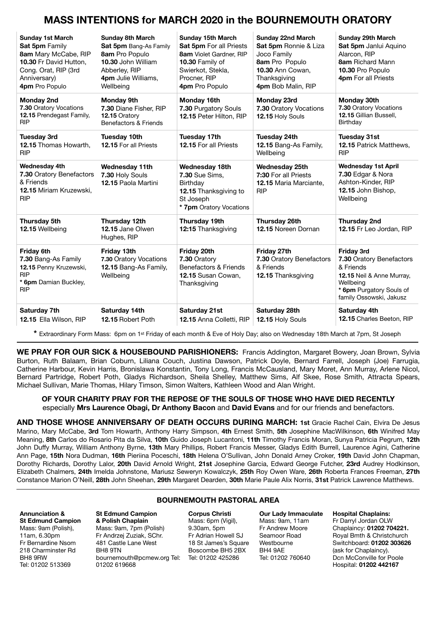### **MASS INTENTIONS for MARCH 2020 in the BOURNEMOUTH ORATORY**

| <b>Sunday 1st March</b><br>Sat 5pm Family<br>8am Mary McCabe, RIP<br>10.30 Fr David Hutton,<br>Cong. Orat, RIP (3rd<br>Anniversary)<br>4pm Pro Populo | <b>Sunday 8th March</b><br>Sat 5pm Bang-As Family<br>8am Pro Populo<br>10.30 John William<br>Abberley, RIP<br>4pm Julie Williams,<br>Wellbeing | <b>Sunday 15th March</b><br>Sat 5pm For all Priests<br>8am Violet Gardner, RIP<br>10.30 Family of<br>Swierkot, Stekla,<br>Procner, RIP<br>4pm Pro Populo | <b>Sunday 22nd March</b><br>Sat 5pm Ronnie & Liza<br>Joco Family<br>8am Pro Populo<br><b>10.30 Ann Cowan.</b><br>Thanksgiving<br>4pm Bob Malin, RIP | Sunday 29th March<br>Sat 5pm Janlui Aquino<br>Alarcon, RIP<br><b>8am</b> Richard Mann<br>10.30 Pro Populo<br>4pm For all Priests                            |
|-------------------------------------------------------------------------------------------------------------------------------------------------------|------------------------------------------------------------------------------------------------------------------------------------------------|----------------------------------------------------------------------------------------------------------------------------------------------------------|-----------------------------------------------------------------------------------------------------------------------------------------------------|-------------------------------------------------------------------------------------------------------------------------------------------------------------|
| <b>Monday 2nd</b><br>7.30 Oratory Vocations<br>12.15 Prendegast Family,<br><b>RIP</b>                                                                 | <b>Monday 9th</b><br>7.30 Diane Fisher, RIP<br>12.15 Oratory<br>Benefactors & Friends                                                          | Monday 16th<br>7.30 Purgatory Souls<br>12.15 Peter Hilton, RIP                                                                                           | Monday 23rd<br>7.30 Oratory Vocations<br>12.15 Holy Souls                                                                                           | <b>Monday 30th</b><br>7.30 Oratory Vocations<br>12.15 Gillian Bussell,<br>Birthday                                                                          |
| <b>Tuesday 3rd</b><br>12.15 Thomas Howarth,<br><b>RIP</b>                                                                                             | <b>Tuesday 10th</b><br>12.15 For all Priests                                                                                                   | Tuesday 17th<br>12.15 For all Priests                                                                                                                    | <b>Tuesday 24th</b><br>12.15 Bang-As Family,<br>Wellbeina                                                                                           | <b>Tuesday 31st</b><br>12.15 Patrick Matthews,<br><b>RIP</b>                                                                                                |
| <b>Wednesday 4th</b><br>7.30 Oratory Benefactors<br>& Friends<br>12.15 Miriam Kruzewski.<br><b>RIP</b>                                                | <b>Wednesday 11th</b><br>7.30 Holy Souls<br>12.15 Paola Martini                                                                                | Wednesday 18th<br><b>7.30 Sue Sims.</b><br><b>Birthday</b><br>12.15 Thanksgiving to<br>St Joseph<br>* 7pm Oratory Vocations                              | <b>Wednesday 25th</b><br>7:30 For all Priests<br><b>12.15 Maria Marciante,</b><br><b>RIP</b>                                                        | <b>Wednesday 1st April</b><br>7.30 Edgar & Nora<br>Ashton-Kinder, RIP<br>12.15 John Bishop,<br>Wellbeing                                                    |
| Thursday 5th<br>12.15 Wellbeing                                                                                                                       | Thursday 12th<br>12.15 Jane Olwen<br>Hughes, RIP                                                                                               | Thursday 19th<br>12:15 Thanksgiving                                                                                                                      | Thursday 26th<br>12.15 Noreen Dornan                                                                                                                | <b>Thursday 2nd</b><br>12.15 Fr Leo Jordan, RIP                                                                                                             |
| <b>Friday 6th</b><br>7.30 Bang-As Family<br>12.15 Penny Kruzewski,<br><b>RIP</b><br>* 6pm Damian Buckley,<br><b>RIP</b>                               | Friday 13th<br>7.30 Oratory Vocations<br>12.15 Bang-As Family,<br>Wellbeing                                                                    | Friday 20th<br>7.30 Oratory<br>Benefactors & Friends<br>12.15 Susan Cowan,<br>Thanksgiving                                                               | Friday 27th<br>7.30 Oratory Benefactors<br>& Friends<br>12.15 Thanksgiving                                                                          | <b>Friday 3rd</b><br>7.30 Oratory Benefactors<br>& Friends<br>12.15 Neil & Anne Murray,<br>Wellbeing<br>* 6pm Purgatory Souls of<br>family Ossowski, Jakusz |
| Saturday 7th<br>12.15 Ella Wilson, RIP                                                                                                                | Saturday 14th<br>12.15 Robert Poth                                                                                                             | Saturday 21st<br>12.15 Anna Colletti, RIP                                                                                                                | Saturday 28th<br>12.15 Holy Souls                                                                                                                   | Saturday 4th<br>12.15 Charles Beeton, RIP                                                                                                                   |

**\*** Extraordinary Form Mass: 6pm on 1st Friday of each month & Eve of Holy Day; also on Wednesday 18th March at 7pm, St Joseph

**WE PRAY FOR OUR SICK & HOUSEBOUND PARISHIONERS:** Francis Addington, Margaret Bowery, Joan Brown, Sylvia Burton, Ruth Balaam, Brian Coburn, Liliana Couch, Justina Dawson, Patrick Doyle, Bernard Farrell, Joseph (Joe) Farrugia, Catherine Harbour, Kevin Harris, Bronislawa Konstantin, Tony Long, Francis McCausland, Mary Moret, Ann Murray, Arlene Nicol, Bernard Partridge, Robert Poth, Gladys Richardson, Sheila Shelley, Matthew Sims, Alf Skee, Rose Smith, Attracta Spears, Michael Sullivan, Marie Thomas, Hilary Timson, Simon Walters, Kathleen Wood and Alan Wright.

#### **OF YOUR CHARITY PRAY FOR THE REPOSE OF THE SOULS OF THOSE WHO HAVE DIED RECENTLY**  especially **Mrs Laurence Obagi, Dr Anthony Bacon** and **David Evans** and for our friends and benefactors.

**AND THOSE WHOSE ANNIVERSARY OF DEATH OCCURS DURING MARCH: 1st** Gracie Rachel Cain, Elvira De Jesus Marino, Mary McCabe, **3rd** Tom Howarth, Anthony Harry Simpson, **4th** Ernest Smith, **5th** Josephine MacWilkinson, **6th** Winifred May Meaning, **8th** Carlos do Rosario Pita da Silva, **10th** Guido Joseph Lucantoni, **11th** Timothy Francis Moran, Sunya Patricia Pegrum, **12th**  John Duffy Murray, William Anthony Byrne, **13th** Mary Phillips, Robert Francis Messer, Gladys Edith Burrell, Laurence Agini, Catherine Ann Page, **15th** Nora Dudman, **16th** Pieriina Poceschi, **18th** Helena O'Sullivan, John Donald Arney Croker, **19th** David John Chapman, Dorothy Richards, Dorothy Lalor, **20th** David Arnold Wright, **21st** Josephine Garcia, Edward George Futcher, **23rd** Audrey Hodkinson, Elizabeth Chalmers, **24th** Imelda Johnstone, Mariusz Seweryn Kowalczyk, **25th** Roy Owen Ware, **26th** Roberta Frances Freeman, **27th**  Constance Marion O'Neill, **28th** John Sheehan, **29th** Margaret Dearden, **30th** Marie Paule Alix Norris, **31st** Patrick Lawrence Matthews.

#### **Annunciation & St Edmund Campion**  Mass: 9am (Polish), 11am, 6.30pm Fr Bernardine Nsom 218 Charminster Rd BH8 9RW Tel: 01202 513369

**& Polish Chaplain** Mass: 9am, 7pm (Polish) Fr Andrzej Zuziak, SChr. 481 Castle Lane West

BH8 9TN

01202 619668

### **BOURNEMOUTH PASTORAL AREA St Edmund Campion**

[bournemouth@pcmew.org](mailto:bournemouth@pcmew.org) Tel: Tel: 01202 425286 **Corpus Christi**  Mass: 6pm (Vigil), 9.30am, 5pm Fr Adrian Howell SJ 18 St James's Square Boscombe BH5 2BX

**Our Lady Immaculate**  Mass: 9am, 11am Fr Andrew Moore Seamoor Road Westbourne BH4 9AE Tel: 01202 760640

**Hospital Chaplains:**  Fr Darryl Jordan OLW Chaplaincy: **01202 704221.** Royal Bmth & Christchurch Switchboard: **01202 303626** (ask for Chaplaincy). Dcn McConville for Poole Hospital: **01202 442167**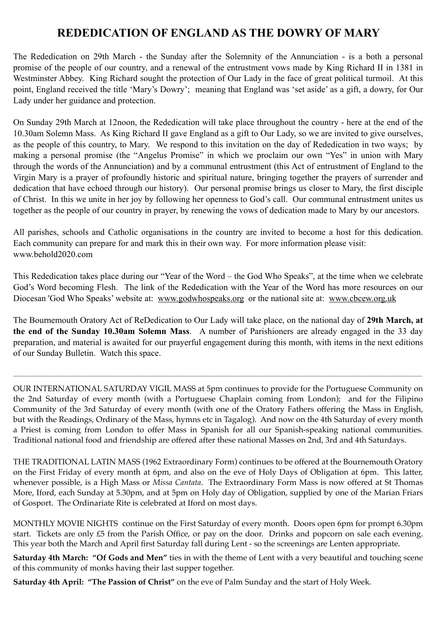### **REDEDICATION OF ENGLAND AS THE DOWRY OF MARY**

The Rededication on 29th March - the Sunday after the Solemnity of the Annunciation - is a both a personal promise of the people of our country, and a renewal of the entrustment vows made by King Richard II in 1381 in Westminster Abbey. King Richard sought the protection of Our Lady in the face of great political turmoil. At this point, England received the title 'Mary's Dowry'; meaning that England was 'set aside' as a gift, a dowry, for Our Lady under her guidance and protection.

On Sunday 29th March at 12noon, the Rededication will take place throughout the country - here at the end of the 10.30am Solemn Mass. As King Richard II gave England as a gift to Our Lady, so we are invited to give ourselves, as the people of this country, to Mary. We respond to this invitation on the day of Rededication in two ways; by making a personal promise (the "Angelus Promise" in which we proclaim our own "Yes" in union with Mary through the words of the Annunciation) and by a communal entrustment (this Act of entrustment of England to the Virgin Mary is a prayer of profoundly historic and spiritual nature, bringing together the prayers of surrender and dedication that have echoed through our history). Our personal promise brings us closer to Mary, the first disciple of Christ. In this we unite in her joy by following her openness to God's call. Our communal entrustment unites us together as the people of our country in prayer, by renewing the vows of dedication made to Mary by our ancestors.

All parishes, schools and Catholic organisations in the country are invited to become a host for this dedication. Each community can prepare for and mark this in their own way. For more information please visit: www.behold2020.com

This Rededication takes place during our "Year of the Word – the God Who Speaks", at the time when we celebrate God's Word becoming Flesh. The link of the Rededication with the Year of the Word has more resources on our Diocesan 'God Who Speaks' website at: [www.godwhospeaks.org](http://www.godwhospeaks.org) or the national site at: [www.cbcew.org.uk](http://www.cbcew.org.uk)

The Bournemouth Oratory Act of ReDedication to Our Lady will take place, on the national day of **29th March, at the end of the Sunday 10.30am Solemn Mass**. A number of Parishioners are already engaged in the 33 day preparation, and material is awaited for our prayerful engagement during this month, with items in the next editions of our Sunday Bulletin. Watch this space.

OUR INTERNATIONAL SATURDAY VIGIL MASS at 5pm continues to provide for the Portuguese Community on the 2nd Saturday of every month (with a Portuguese Chaplain coming from London); and for the Filipino Community of the 3rd Saturday of every month (with one of the Oratory Fathers offering the Mass in English, but with the Readings, Ordinary of the Mass, hymns etc in Tagalog). And now on the 4th Saturday of every month a Priest is coming from London to offer Mass in Spanish for all our Spanish-speaking national communities. Traditional national food and friendship are offered after these national Masses on 2nd, 3rd and 4th Saturdays.

\_\_\_\_\_\_\_\_\_\_\_\_\_\_\_\_\_\_\_\_\_\_\_\_\_\_\_\_\_\_\_\_\_\_\_\_\_\_\_\_\_\_\_\_\_\_\_\_\_\_\_\_\_\_\_\_\_\_\_\_\_\_\_\_\_\_\_\_\_\_\_\_\_\_\_\_\_\_\_\_\_\_\_\_\_\_\_\_\_\_\_\_\_\_\_\_\_\_\_\_\_\_\_\_\_\_\_\_\_\_\_\_\_\_\_\_\_\_\_\_\_\_\_\_\_\_\_\_\_\_\_\_\_\_\_\_\_\_\_\_\_\_\_\_\_\_\_\_\_\_\_\_\_\_\_\_\_\_\_\_\_\_\_\_\_\_\_\_\_\_\_\_\_\_\_\_\_\_\_\_\_\_\_\_\_\_

THE TRADITIONAL LATIN MASS (1962 Extraordinary Form) continues to be offered at the Bournemouth Oratory on the First Friday of every month at 6pm, and also on the eve of Holy Days of Obligation at 6pm. This latter, whenever possible, is a High Mass or *Missa Cantata*. The Extraordinary Form Mass is now offered at St Thomas More, Iford, each Sunday at 5.30pm, and at 5pm on Holy day of Obligation, supplied by one of the Marian Friars of Gosport. The Ordinariate Rite is celebrated at Iford on most days.

MONTHLY MOVIE NIGHTS continue on the First Saturday of every month. Doors open 6pm for prompt 6.30pm start. Tickets are only £5 from the Parish Office, or pay on the door. Drinks and popcorn on sale each evening. This year both the March and April first Saturday fall during Lent - so the screenings are Lenten appropriate.

**Saturday 4th March: "Of Gods and Men"** ties in with the theme of Lent with a very beautiful and touching scene of this community of monks having their last supper together.

**Saturday 4th April: "The Passion of Christ"** on the eve of Palm Sunday and the start of Holy Week.